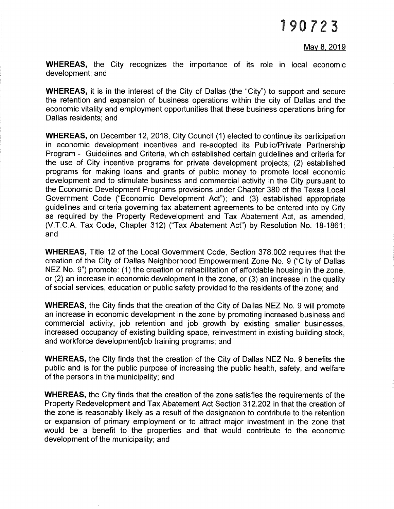## 1 e0 7 23

#### Mav 8. 2019

WHEREAS, the City recognizes the importance of its role in local economic development; and

WHEREAS, it is in the interest of the City of Dallas (the "City") to support and secure the retention and expansion of business operations within the city of Dallas and the economic vitality and employment opportunities that these business operations bring for Dallas residents; and

WHEREAS, on December 12, 2018, City Council (1) elected to continue its participation in economic development incentives and re-adopted its Public/Private Partnership Program - Guidelines and Criteria, which established certain guidelines and criteria for the use of City incentive programs for private development projects; (2) established programs for making loans and grants of public money to promote local economic development and to stimulate business and commercial activity in the City pursuant to the Economic Development Programs provisions under Chapter 380 of the Texas Local Government Code ("Economic Development Act"); and (3) established appropriate guidelines and criteria governing tax abatement agreements to be entered into by City as required by the Property Redevelopment and Tax Abatement Act, as amended, (V.T.C.A. Tax Code, Chapter 312) ("Tax Abatement Act") by Resolution No. 18-1861; and

WHEREAS, Title 12 of the Local Government Code, Section 378.002 requires that the creation of the City of Dallas Neighborhood Empowerment Zone No. 9 ("City of Dallas NEZ No. 9") promote: (1) the creation or rehabilitation of affordable housing in the zone, or (2) an increase in economic development in the zone, or (3) an increase in the quality of social services, education or public safety provided to the residents of the zone; and

WHEREAS, the City finds that the creation of the City of Dallas NEZ No. 9 will promote an increase in economic development in the zone by promoting increased business and commercial activity, job retention and job growth by existing smaller businesses, increased occupancy of existing building space, reinvestment in existing building stock, and workforce development/job training programs; and

WHEREAS, the City finds that the creation of the City of Dallas NEZ No. 9 benefits the public and is for the public purpose of increasing the public health, safety, and welfare of the persons in the municipality; and

WHEREAS, the City finds that the creation of the zone satisfies the requirements of the Property Redevelopment and Tax Abatement Act Section 312.202 in that the creation of the zone is reasonably likely as a result of the designation to contribute to the retention or expansion of primary employment or to attract major investment in the zone that would be a benefit to the properties and that would contribute to the economic development of the municipality; and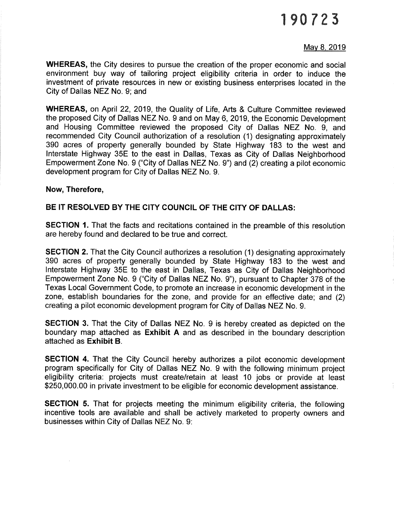# 1e0 7?3

#### Mav 8. 2019

WHEREAS, the City desires to pursue the creation of the proper economic and social environment buy way of tailoring project eligibility criteria in order to induce the investment of private resources in new or existing business enterprises located in the City of Dallas NEZ No. 9; and

WHEREAS, on April22, 2019, the Quality of Life, Arts & Culture Committee reviewed the proposed City of Dallas NEZ No. 9 and on May 6,2019, the Economic Development and Housing Committee reviewed the proposed City of Dallas NEZ No. 9, and recommended City Council authorization of a resolution (1) designating approximately 390 acres of property generally bounded by State Highway 183 to the west and lnterstate Highway 35E to the east in Dallas, Texas as City of Dallas Neighborhood Empowerment Zone No. 9 ("City of Dallas NEZ No. 9") and (2) creating a pilot economic development program for City of Dallas NEZ No. 9.

#### Now, Therefore,

#### BE IT RESOLVED BY THE CITY COUNCIL OF THE CITY OF DALLAS:

SECTION 1. That the facts and recitations contained in the preamble of this resolution are hereby found and declared to be true and correct.

SECTION 2. That the City Council authorizes a resolution (1) designating approximately 390 acres of property generally bounded by State Highway 183 to the west and lnterstate Highway 35E to the east in Dallas, Texas as City of Dallas Neighborhood Empowerment Zone No. 9 ("City of Dallas NEZ No. 9"), pursuant to Chapter 378 of the Texas Local Government Code, to promote an increase in economic development in the zone, establish boundaries for the zone, and provide for an effective date; and (2) creating a pilot economic development program for City of Dallas NEZ No. 9.

SECTION 3. That the City of Dallas NEZ No. 9 is hereby created as depicted on the boundary map attached as Exhibit A and as described in the boundary description attached as Exhibit B.

SECTION 4. That the City Council hereby authorizes a pilot economic development program specifically for City of Dallas NEZ No. 9 with the following minimum project eligibility criteria: projects must create/retain at least 10 jobs or provide at least \$250,000.00 in private investment to be eligible for economic development assistance.

SECTION 5. That for projects meeting the minimum eligibility criteria, the following incentive tools are available and shall be actively marketed to property owners and businesses within City of Dallas NEZ No. 9: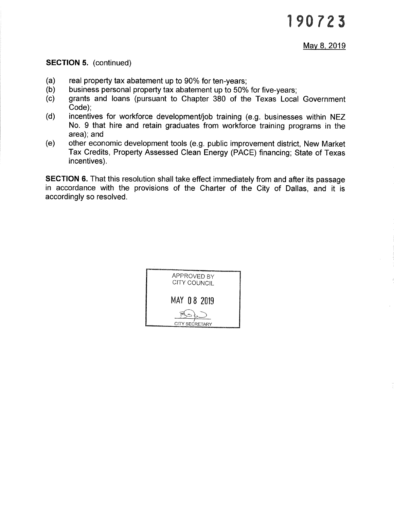#### SECTION 5. (continued)

- 
- 
- (a) real property tax abatement up to 90% for ten-years; (b) business personal property tax abatement up to 50% for five-years; (c) grants and loans (pursuant to Chapter 380 of the Texas Local Government Code);<br>(d) incentives for workforce development/job training (e.g. businesses within NEZ
- No. 9 that hire and retain graduates from workforce training programs in the
- (e) other economic development tools (e.g. public improvement district, New Market Tax Credits, Property Assessed Clean Energy (PACE) financing; State of Texas incentives).

SECTION 6. That this resolution shall take effect immediately from and after its passage in accordance with the provisions of the Charter of the City of Dallas, and it is accordingly so resolved.

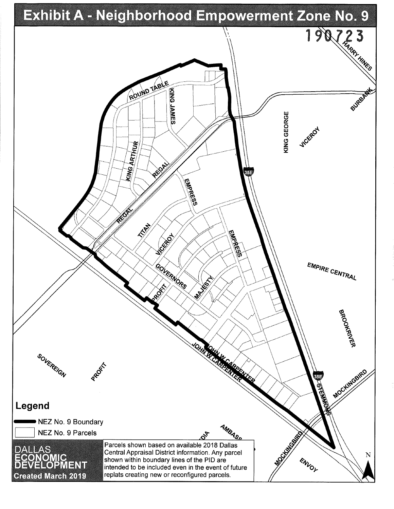